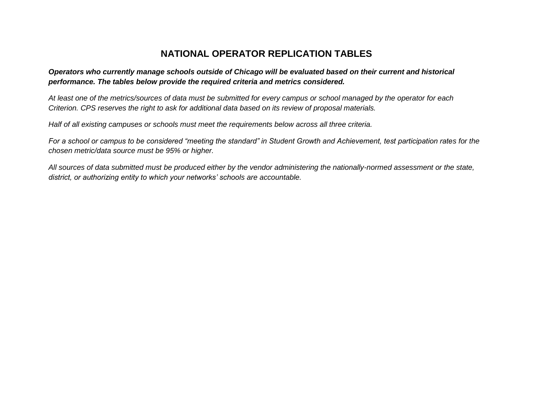## **NATIONAL OPERATOR REPLICATION TABLES**

## *Operators who currently manage schools outside of Chicago will be evaluated based on their current and historical performance. The tables below provide the required criteria and metrics considered.*

*At least one of the metrics/sources of data must be submitted for every campus or school managed by the operator for each Criterion. CPS reserves the right to ask for additional data based on its review of proposal materials.*

*Half of all existing campuses or schools must meet the requirements below across all three criteria.*

*For a school or campus to be considered "meeting the standard" in Student Growth and Achievement, test participation rates for the chosen metric/data source must be 95% or higher.*

*All sources of data submitted must be produced either by the vendor administering the nationally-normed assessment or the state, district, or authorizing entity to which your networks' schools are accountable.*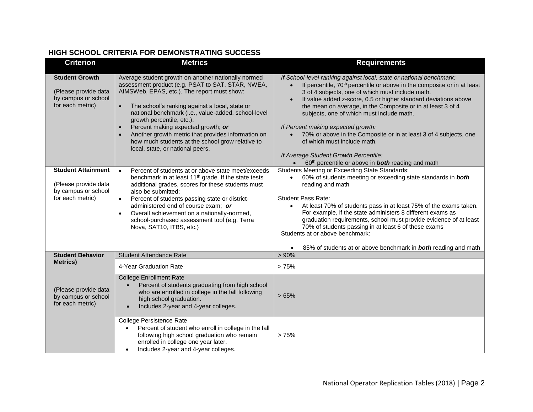## **HIGH SCHOOL CRITERIA FOR DEMONSTRATING SUCCESS**

| <b>Criterion</b>                                                                             | <b>Metrics</b>                                                                                                                                                                                                                                                                                                                                                                                                                                                                                                           | <b>Requirements</b>                                                                                                                                                                                                                                                                                                                                                                                                                                                                                                                                                                                                                                                                |
|----------------------------------------------------------------------------------------------|--------------------------------------------------------------------------------------------------------------------------------------------------------------------------------------------------------------------------------------------------------------------------------------------------------------------------------------------------------------------------------------------------------------------------------------------------------------------------------------------------------------------------|------------------------------------------------------------------------------------------------------------------------------------------------------------------------------------------------------------------------------------------------------------------------------------------------------------------------------------------------------------------------------------------------------------------------------------------------------------------------------------------------------------------------------------------------------------------------------------------------------------------------------------------------------------------------------------|
| <b>Student Growth</b><br>(Please provide data<br>by campus or school<br>for each metric)     | Average student growth on another nationally normed<br>assessment product (e.g. PSAT to SAT, STAR, NWEA,<br>AIMSWeb, EPAS, etc.). The report must show:<br>The school's ranking against a local, state or<br>$\bullet$<br>national benchmark (i.e., value-added, school-level<br>growth percentile, etc.);<br>Percent making expected growth; or<br>$\bullet$<br>Another growth metric that provides information on<br>$\bullet$<br>how much students at the school grow relative to<br>local, state, or national peers. | If School-level ranking against local, state or national benchmark:<br>If percentile, 70 <sup>th</sup> percentile or above in the composite or in at least<br>3 of 4 subjects, one of which must include math.<br>If value added z-score, 0.5 or higher standard deviations above<br>$\bullet$<br>the mean on average, in the Composite or in at least 3 of 4<br>subjects, one of which must include math.<br>If Percent making expected growth:<br>70% or above in the Composite or in at least 3 of 4 subjects, one<br>$\bullet$<br>of which must include math.<br>If Average Student Growth Percentile:<br>60 <sup>th</sup> percentile or above in <b>both</b> reading and math |
| <b>Student Attainment</b><br>(Please provide data<br>by campus or school<br>for each metric) | Percent of students at or above state meet/exceeds<br>$\bullet$<br>benchmark in at least 11 <sup>th</sup> grade. If the state tests<br>additional grades, scores for these students must<br>also be submitted:<br>Percent of students passing state or district-<br>$\bullet$<br>administered end of course exam; or<br>Overall achievement on a nationally-normed,<br>$\bullet$<br>school-purchased assessment tool (e.g. Terra<br>Nova, SAT10, ITBS, etc.)                                                             | Students Meeting or Exceeding State Standards:<br>60% of students meeting or exceeding state standards in both<br>$\bullet$<br>reading and math<br><b>Student Pass Rate:</b><br>At least 70% of students pass in at least 75% of the exams taken.<br>$\bullet$<br>For example, if the state administers 8 different exams as<br>graduation requirements, school must provide evidence of at least<br>70% of students passing in at least 6 of these exams<br>Students at or above benchmark:<br>85% of students at or above benchmark in <b>both</b> reading and math                                                                                                              |
| <b>Student Behavior</b><br><b>Metrics)</b>                                                   | <b>Student Attendance Rate</b>                                                                                                                                                                                                                                                                                                                                                                                                                                                                                           | $> 90\%$                                                                                                                                                                                                                                                                                                                                                                                                                                                                                                                                                                                                                                                                           |
| (Please provide data<br>by campus or school<br>for each metric)                              | 4-Year Graduation Rate<br><b>College Enrollment Rate</b><br>Percent of students graduating from high school<br>who are enrolled in college in the fall following<br>high school graduation.<br>Includes 2-year and 4-year colleges.<br>College Persistence Rate<br>Percent of student who enroll in college in the fall                                                                                                                                                                                                  | >75%<br>>65%                                                                                                                                                                                                                                                                                                                                                                                                                                                                                                                                                                                                                                                                       |
|                                                                                              | following high school graduation who remain<br>enrolled in college one year later.<br>Includes 2-year and 4-year colleges.<br>$\bullet$                                                                                                                                                                                                                                                                                                                                                                                  | >75%                                                                                                                                                                                                                                                                                                                                                                                                                                                                                                                                                                                                                                                                               |